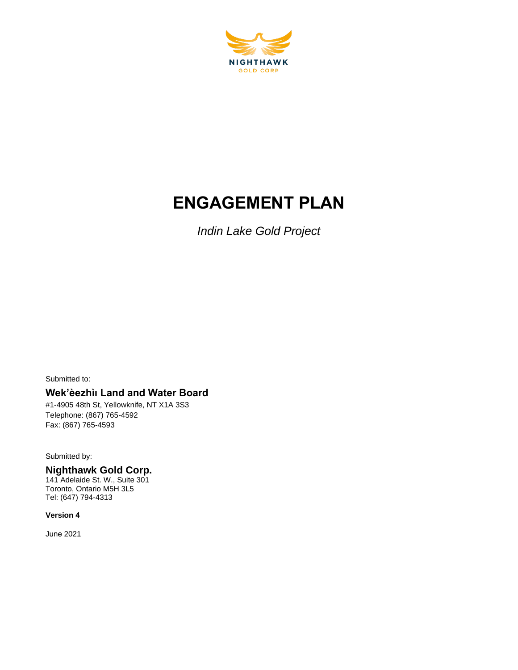

# **ENGAGEMENT PLAN**

*Indin Lake Gold Project*

Submitted to:

### **Wek'èezhìı Land and Water Board**

#1-4905 48th St, Yellowknife, NT X1A 3S3 Telephone: (867) 765-4592 Fax: (867) 765-4593

Submitted by:

**Nighthawk Gold Corp.**  141 Adelaide St. W., Suite 301 Toronto, Ontario M5H 3L5 Tel: (647) 794-4313

**Version 4**

June 2021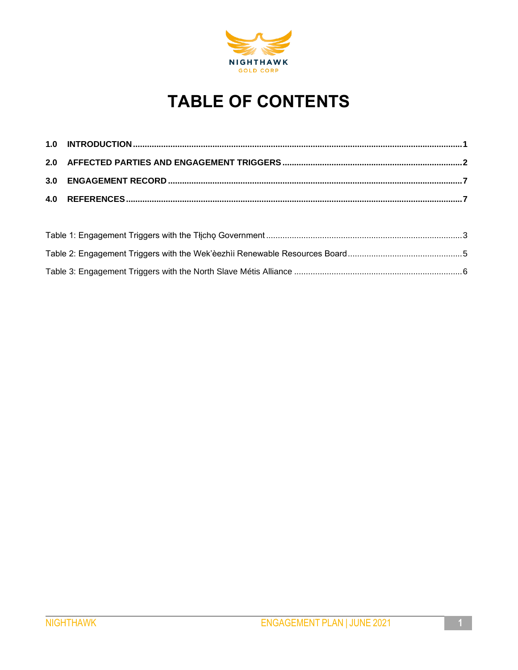

# **TABLE OF CONTENTS**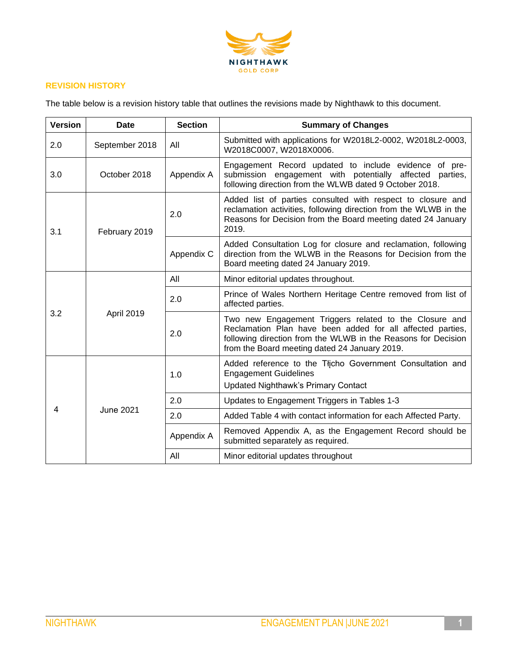

#### **REVISION HISTORY**

The table below is a revision history table that outlines the revisions made by Nighthawk to this document.

| <b>Version</b> | <b>Date</b>      | <b>Section</b> | <b>Summary of Changes</b>                                                                                                                                                                                                              |  |
|----------------|------------------|----------------|----------------------------------------------------------------------------------------------------------------------------------------------------------------------------------------------------------------------------------------|--|
| 2.0            | September 2018   | All            | Submitted with applications for W2018L2-0002, W2018L2-0003,<br>W2018C0007, W2018X0006.                                                                                                                                                 |  |
| 3.0            | October 2018     | Appendix A     | Engagement Record updated to include evidence of pre-<br>submission engagement with potentially affected<br>parties,<br>following direction from the WLWB dated 9 October 2018.                                                        |  |
| 3.1            | February 2019    | 2.0            | Added list of parties consulted with respect to closure and<br>reclamation activities, following direction from the WLWB in the<br>Reasons for Decision from the Board meeting dated 24 January<br>2019.                               |  |
|                |                  | Appendix C     | Added Consultation Log for closure and reclamation, following<br>direction from the WLWB in the Reasons for Decision from the<br>Board meeting dated 24 January 2019.                                                                  |  |
|                | April 2019       | All            | Minor editorial updates throughout.                                                                                                                                                                                                    |  |
|                |                  | 2.0            | Prince of Wales Northern Heritage Centre removed from list of<br>affected parties.                                                                                                                                                     |  |
| 3.2            |                  | 2.0            | Two new Engagement Triggers related to the Closure and<br>Reclamation Plan have been added for all affected parties,<br>following direction from the WLWB in the Reasons for Decision<br>from the Board meeting dated 24 January 2019. |  |
|                |                  | 1.0            | Added reference to the Tłįcho Government Consultation and<br><b>Engagement Guidelines</b><br><b>Updated Nighthawk's Primary Contact</b>                                                                                                |  |
|                |                  | 2.0            | Updates to Engagement Triggers in Tables 1-3                                                                                                                                                                                           |  |
| 4              | <b>June 2021</b> | 2.0            | Added Table 4 with contact information for each Affected Party.                                                                                                                                                                        |  |
|                |                  | Appendix A     | Removed Appendix A, as the Engagement Record should be<br>submitted separately as required.                                                                                                                                            |  |
|                |                  | All            | Minor editorial updates throughout                                                                                                                                                                                                     |  |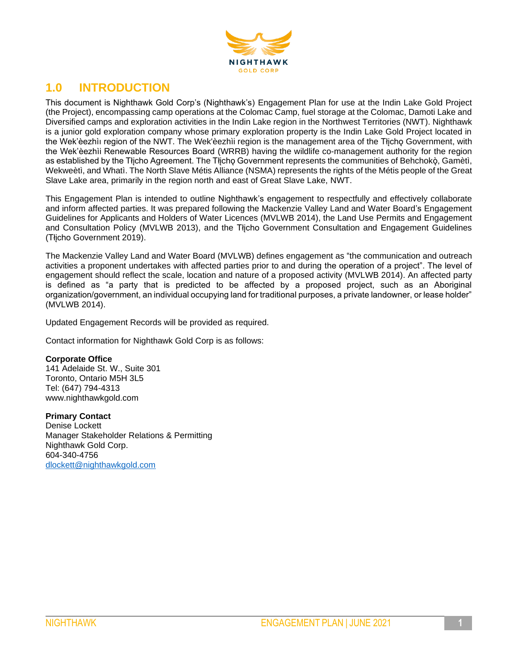

## **1.0 INTRODUCTION**

This document is Nighthawk Gold Corp's (Nighthawk's) Engagement Plan for use at the Indin Lake Gold Project (the Project), encompassing camp operations at the Colomac Camp, fuel storage at the Colomac, Damoti Lake and Diversified camps and exploration activities in the Indin Lake region in the Northwest Territories (NWT). Nighthawk is a junior gold exploration company whose primary exploration property is the Indin Lake Gold Project located in the Wek'èezhìı region of the NWT. The Wek'èezhìi region is the management area of the Tłįchǫ Government, with the Wek'èezhìi Renewable Resources Board (WRRB) having the wildlife co-management authority for the region as established by the Tłįcho Agreement. The Tłįchǫ Government represents the communities of Behchokǫ̀ , Gamètì, Wekweètì, and Whatì. The North Slave Métis Alliance (NSMA) represents the rights of the Métis people of the Great Slave Lake area, primarily in the region north and east of Great Slave Lake, NWT.

This Engagement Plan is intended to outline Nighthawk's engagement to respectfully and effectively collaborate and inform affected parties. It was prepared following the Mackenzie Valley Land and Water Board's Engagement Guidelines for Applicants and Holders of Water Licences (MVLWB 2014), the Land Use Permits and Engagement and Consultation Policy (MVLWB 2013), and the Tłįcho Government Consultation and Engagement Guidelines (Tłįcho Government 2019).

The Mackenzie Valley Land and Water Board (MVLWB) defines engagement as "the communication and outreach activities a proponent undertakes with affected parties prior to and during the operation of a project". The level of engagement should reflect the scale, location and nature of a proposed activity (MVLWB 2014). An affected party is defined as "a party that is predicted to be affected by a proposed project, such as an Aboriginal organization/government, an individual occupying land for traditional purposes, a private landowner, or lease holder" (MVLWB 2014).

Updated Engagement Records will be provided as required.

Contact information for Nighthawk Gold Corp is as follows:

#### **Corporate Office**

141 Adelaide St. W., Suite 301 Toronto, Ontario M5H 3L5 Tel: (647) 794-4313 www.nighthawkgold.com

**Primary Contact** Denise Lockett Manager Stakeholder Relations & Permitting Nighthawk Gold Corp. 604-340-4756 [dlockett@nighthawkgold.com](mailto:dlockett@nighthawkgold.com)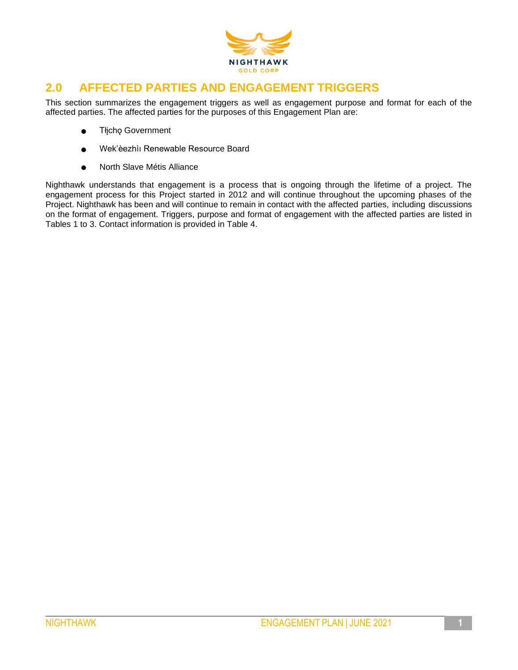

## **2.0 AFFECTED PARTIES AND ENGAGEMENT TRIGGERS**

This section summarizes the engagement triggers as well as engagement purpose and format for each of the affected parties. The affected parties for the purposes of this Engagement Plan are:

- Tłįchǫ Government
- Wek'èezhìı Renewable Resource Board
- North Slave Métis Alliance

Nighthawk understands that engagement is a process that is ongoing through the lifetime of a project. The engagement process for this Project started in 2012 and will continue throughout the upcoming phases of the Project. Nighthawk has been and will continue to remain in contact with the affected parties, including discussions on the format of engagement. Triggers, purpose and format of engagement with the affected parties are listed in Tables 1 to 3. Contact information is provided in Table 4.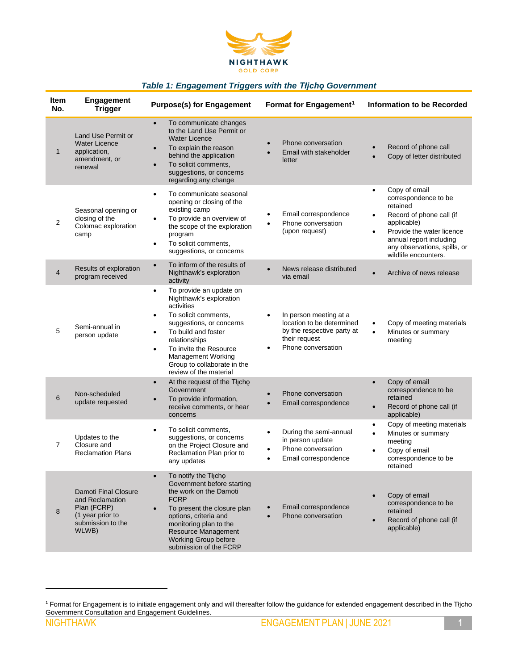

#### *Table 1: Engagement Triggers with the Tłįchǫ Government*

| Item<br>No.    | <b>Engagement</b><br><b>Trigger</b>                                                                      | <b>Purpose(s) for Engagement</b>                                                                                                                                                                                                                                                                                                 | Format for Engagement <sup>1</sup>                                                                                                    | Information to be Recorded                                                                                                                                                                                                                          |
|----------------|----------------------------------------------------------------------------------------------------------|----------------------------------------------------------------------------------------------------------------------------------------------------------------------------------------------------------------------------------------------------------------------------------------------------------------------------------|---------------------------------------------------------------------------------------------------------------------------------------|-----------------------------------------------------------------------------------------------------------------------------------------------------------------------------------------------------------------------------------------------------|
| 1              | Land Use Permit or<br><b>Water Licence</b><br>application,<br>amendment, or<br>renewal                   | To communicate changes<br>$\bullet$<br>to the Land Use Permit or<br><b>Water Licence</b><br>To explain the reason<br>$\bullet$<br>behind the application<br>To solicit comments,<br>$\bullet$<br>suggestions, or concerns<br>regarding any change                                                                                | Phone conversation<br>Email with stakeholder<br>letter                                                                                | Record of phone call<br>Copy of letter distributed<br>$\bullet$                                                                                                                                                                                     |
| 2              | Seasonal opening or<br>closing of the<br>Colomac exploration<br>camp                                     | To communicate seasonal<br>$\bullet$<br>opening or closing of the<br>existing camp<br>To provide an overview of<br>$\bullet$<br>the scope of the exploration<br>program<br>To solicit comments,<br>$\bullet$<br>suggestions, or concerns                                                                                         | Email correspondence<br>Phone conversation<br>$\bullet$<br>(upon request)                                                             | Copy of email<br>$\bullet$<br>correspondence to be<br>retained<br>Record of phone call (if<br>$\bullet$<br>applicable)<br>Provide the water licence<br>$\bullet$<br>annual report including<br>any observations, spills, or<br>wildlife encounters. |
| 4              | Results of exploration<br>program received                                                               | To inform of the results of<br>$\bullet$<br>Nighthawk's exploration<br>activity                                                                                                                                                                                                                                                  | News release distributed<br>via email                                                                                                 | Archive of news release<br>$\bullet$                                                                                                                                                                                                                |
| 5              | Semi-annual in<br>person update                                                                          | To provide an update on<br>$\bullet$<br>Nighthawk's exploration<br>activities<br>To solicit comments,<br>$\bullet$<br>suggestions, or concerns<br>To build and foster<br>$\bullet$<br>relationships<br>To invite the Resource<br>$\bullet$<br><b>Management Working</b><br>Group to collaborate in the<br>review of the material | In person meeting at a<br>$\bullet$<br>location to be determined<br>by the respective party at<br>their request<br>Phone conversation | Copy of meeting materials<br>$\bullet$<br>Minutes or summary<br>$\bullet$<br>meeting                                                                                                                                                                |
| 6              | Non-scheduled<br>update requested                                                                        | At the request of the Thicho<br>$\bullet$<br>Government<br>To provide information,<br>receive comments, or hear<br>concerns                                                                                                                                                                                                      | Phone conversation<br>Email correspondence                                                                                            | Copy of email<br>$\bullet$<br>correspondence to be<br>retained<br>Record of phone call (if<br>$\bullet$<br>applicable)                                                                                                                              |
| $\overline{7}$ | Updates to the<br>Closure and<br><b>Reclamation Plans</b>                                                | To solicit comments,<br>$\bullet$<br>suggestions, or concerns<br>on the Project Closure and<br>Reclamation Plan prior to<br>any updates                                                                                                                                                                                          | During the semi-annual<br>$\bullet$<br>in person update<br>Phone conversation<br>٠<br>Email correspondence<br>$\bullet$               | Copy of meeting materials<br>$\bullet$<br>Minutes or summary<br>$\bullet$<br>meeting<br>Copy of email<br>$\bullet$<br>correspondence to be<br>retained                                                                                              |
| 8              | Damoti Final Closure<br>and Reclamation<br>Plan (FCRP)<br>(1 year prior to<br>submission to the<br>WLWB) | To notify the Tłįcho<br>Government before starting<br>the work on the Damoti<br><b>FCRP</b><br>To present the closure plan<br>$\bullet$<br>options, criteria and<br>monitoring plan to the<br>Resource Management<br><b>Working Group before</b><br>submission of the FCRP                                                       | Email correspondence<br>Phone conversation<br>$\bullet$                                                                               | Copy of email<br>$\bullet$<br>correspondence to be<br>retained<br>Record of phone call (if<br>$\bullet$<br>applicable)                                                                                                                              |

<sup>1</sup> Format for Engagement is to initiate engagement only and will thereafter follow the guidance for extended engagement described in the Tłįcho Government Consultation and Engagement Guidelines.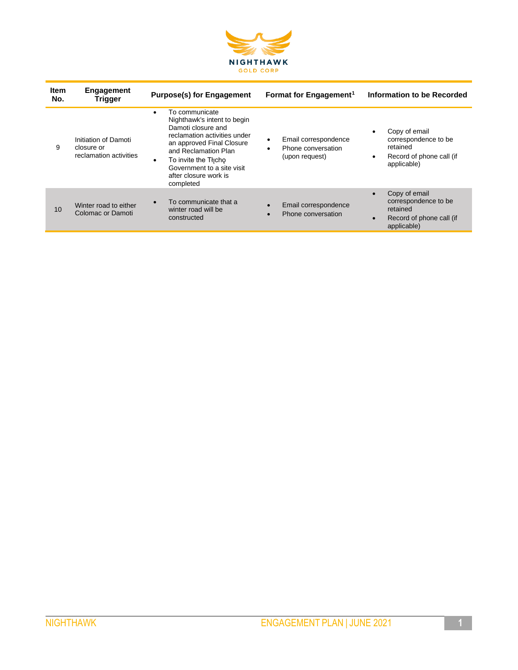

| <b>Item</b><br>No. | Engagement<br>Trigger                                        | <b>Purpose(s) for Engagement</b>                                                                                                                                                                                                                               | Format for Engagement <sup>1</sup>                                | Information to be Recorded                                                                                             |
|--------------------|--------------------------------------------------------------|----------------------------------------------------------------------------------------------------------------------------------------------------------------------------------------------------------------------------------------------------------------|-------------------------------------------------------------------|------------------------------------------------------------------------------------------------------------------------|
| 9                  | Initiation of Damoti<br>closure or<br>reclamation activities | To communicate<br>٠<br>Nighthawk's intent to begin<br>Damoti closure and<br>reclamation activities under<br>an approved Final Closure<br>and Reclamation Plan<br>To invite the Thicho<br>٠<br>Government to a site visit<br>after closure work is<br>completed | Email correspondence<br>٠<br>Phone conversation<br>(upon request) | Copy of email<br>$\bullet$<br>correspondence to be<br>retained<br>Record of phone call (if<br>$\bullet$<br>applicable) |
| 10                 | Winter road to either<br>Colomac or Damoti                   | To communicate that a<br>winter road will be<br>constructed                                                                                                                                                                                                    | Email correspondence<br>Phone conversation<br>$\bullet$           | Copy of email<br>$\bullet$<br>correspondence to be<br>retained<br>Record of phone call (if<br>$\bullet$<br>applicable) |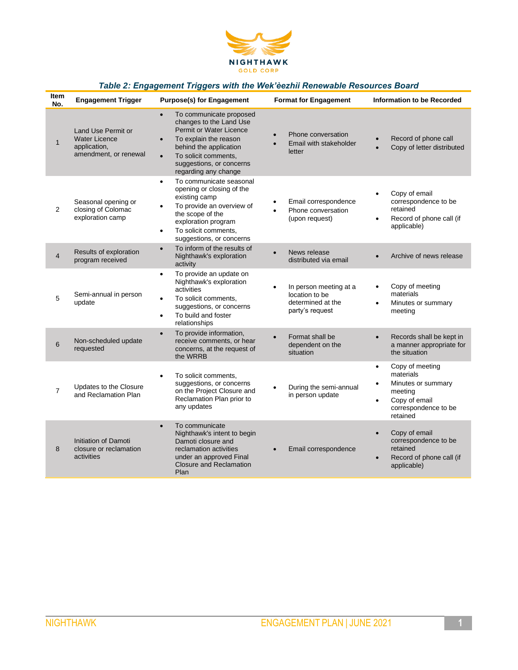

### *Table 2: Engagement Triggers with the Wek'èezhìi Renewable Resources Board*

| <b>Item</b><br>No. | <b>Engagement Trigger</b>                                                           | <b>Purpose(s) for Engagement</b>                                                                                                                                                                                                                    | <b>Format for Engagement</b>                                                                  | Information to be Recorded                                                                                                                                |
|--------------------|-------------------------------------------------------------------------------------|-----------------------------------------------------------------------------------------------------------------------------------------------------------------------------------------------------------------------------------------------------|-----------------------------------------------------------------------------------------------|-----------------------------------------------------------------------------------------------------------------------------------------------------------|
| $\mathbf{1}$       | Land Use Permit or<br><b>Water Licence</b><br>application,<br>amendment, or renewal | To communicate proposed<br>$\bullet$<br>changes to the Land Use<br>Permit or Water Licence<br>To explain the reason<br>$\bullet$<br>behind the application<br>To solicit comments,<br>$\bullet$<br>suggestions, or concerns<br>regarding any change | Phone conversation<br>$\bullet$<br>Email with stakeholder<br>$\bullet$<br>letter              | Record of phone call<br>Copy of letter distributed                                                                                                        |
| $\overline{2}$     | Seasonal opening or<br>closing of Colomac<br>exploration camp                       | To communicate seasonal<br>$\bullet$<br>opening or closing of the<br>existing camp<br>To provide an overview of<br>$\bullet$<br>the scope of the<br>exploration program<br>To solicit comments,<br>$\bullet$<br>suggestions, or concerns            | Email correspondence<br>Phone conversation<br>(upon request)                                  | Copy of email<br>$\bullet$<br>correspondence to be<br>retained<br>Record of phone call (if<br>$\bullet$<br>applicable)                                    |
| 4                  | Results of exploration<br>program received                                          | To inform of the results of<br>$\bullet$<br>Nighthawk's exploration<br>activity                                                                                                                                                                     | News release<br>$\bullet$<br>distributed via email                                            | Archive of news release<br>$\bullet$                                                                                                                      |
| 5                  | Semi-annual in person<br>update                                                     | To provide an update on<br>$\bullet$<br>Nighthawk's exploration<br>activities<br>To solicit comments,<br>$\bullet$<br>suggestions, or concerns<br>To build and foster<br>$\bullet$<br>relationships                                                 | In person meeting at a<br>$\bullet$<br>location to be<br>determined at the<br>party's request | Copy of meeting<br>$\bullet$<br>materials<br>Minutes or summary<br>$\bullet$<br>meeting                                                                   |
| 6                  | Non-scheduled update<br>requested                                                   | To provide information,<br>$\bullet$<br>receive comments, or hear<br>concerns, at the request of<br>the WRRB                                                                                                                                        | Format shall be<br>$\bullet$<br>dependent on the<br>situation                                 | Records shall be kept in<br>$\bullet$<br>a manner appropriate for<br>the situation                                                                        |
| $\overline{7}$     | Updates to the Closure<br>and Reclamation Plan                                      | To solicit comments,<br>$\bullet$<br>suggestions, or concerns<br>on the Project Closure and<br>Reclamation Plan prior to<br>any updates                                                                                                             | During the semi-annual<br>$\bullet$<br>in person update                                       | Copy of meeting<br>$\bullet$<br>materials<br>Minutes or summary<br>$\bullet$<br>meeting<br>Copy of email<br>$\bullet$<br>correspondence to be<br>retained |
| 8                  | <b>Initiation of Damoti</b><br>closure or reclamation<br>activities                 | To communicate<br>$\bullet$<br>Nighthawk's intent to begin<br>Damoti closure and<br>reclamation activities<br>under an approved Final<br><b>Closure and Reclamation</b><br>Plan                                                                     | Email correspondence                                                                          | Copy of email<br>$\bullet$<br>correspondence to be<br>retained<br>Record of phone call (if<br>$\bullet$<br>applicable)                                    |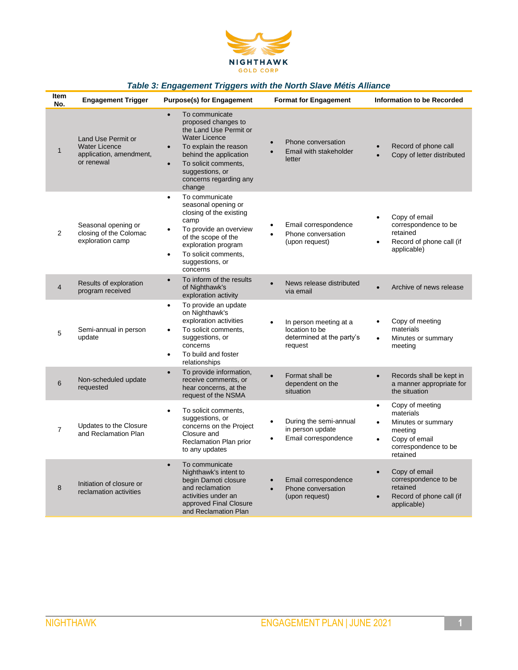

#### *Table 3: Engagement Triggers with the North Slave Métis Alliance*

| <b>Item</b><br>No. | <b>Engagement Trigger</b>                                                           | <b>Purpose(s) for Engagement</b>                                                                                                                                                                                                                                 | <b>Format for Engagement</b>                                                                  | Information to be Recorded                                                                                                                        |
|--------------------|-------------------------------------------------------------------------------------|------------------------------------------------------------------------------------------------------------------------------------------------------------------------------------------------------------------------------------------------------------------|-----------------------------------------------------------------------------------------------|---------------------------------------------------------------------------------------------------------------------------------------------------|
| $\mathbf 1$        | Land Use Permit or<br><b>Water Licence</b><br>application, amendment,<br>or renewal | To communicate<br>$\bullet$<br>proposed changes to<br>the Land Use Permit or<br><b>Water Licence</b><br>To explain the reason<br>$\bullet$<br>behind the application<br>To solicit comments,<br>$\bullet$<br>suggestions, or<br>concerns regarding any<br>change | Phone conversation<br>$\bullet$<br>Email with stakeholder<br>letter                           | Record of phone call<br>Copy of letter distributed                                                                                                |
| 2                  | Seasonal opening or<br>closing of the Colomac<br>exploration camp                   | To communicate<br>$\bullet$<br>seasonal opening or<br>closing of the existing<br>camp<br>To provide an overview<br>$\bullet$<br>of the scope of the<br>exploration program<br>To solicit comments,<br>$\bullet$<br>suggestions, or<br>concerns                   | Email correspondence<br>Phone conversation<br>(upon request)                                  | Copy of email<br>$\bullet$<br>correspondence to be<br>retained<br>Record of phone call (if<br>$\bullet$<br>applicable)                            |
| 4                  | Results of exploration<br>program received                                          | To inform of the results<br>$\bullet$<br>of Nighthawk's<br>exploration activity                                                                                                                                                                                  | News release distributed<br>via email                                                         | Archive of news release<br>$\bullet$                                                                                                              |
| 5                  | Semi-annual in person<br>update                                                     | To provide an update<br>$\bullet$<br>on Nighthawk's<br>exploration activities<br>To solicit comments,<br>$\bullet$<br>suggestions, or<br>concerns<br>To build and foster<br>$\bullet$<br>relationships                                                           | In person meeting at a<br>$\bullet$<br>location to be<br>determined at the party's<br>request | Copy of meeting<br>$\bullet$<br>materials<br>Minutes or summary<br>$\bullet$<br>meeting                                                           |
| 6                  | Non-scheduled update<br>requested                                                   | To provide information,<br>$\bullet$<br>receive comments, or<br>hear concerns, at the<br>request of the NSMA                                                                                                                                                     | Format shall be<br>$\bullet$<br>dependent on the<br>situation                                 | Records shall be kept in<br>$\bullet$<br>a manner appropriate for<br>the situation                                                                |
| $\overline{7}$     | Updates to the Closure<br>and Reclamation Plan                                      | To solicit comments,<br>$\bullet$<br>suggestions, or<br>concerns on the Project<br>Closure and<br>Reclamation Plan prior<br>to any updates                                                                                                                       | During the semi-annual<br>$\bullet$<br>in person update<br>Email correspondence               | Copy of meeting<br>$\bullet$<br>materials<br>Minutes or summary<br>$\bullet$<br>meeting<br>Copy of email<br>٠<br>correspondence to be<br>retained |
| 8                  | Initiation of closure or<br>reclamation activities                                  | To communicate<br>$\bullet$<br>Nighthawk's intent to<br>begin Damoti closure<br>and reclamation<br>activities under an<br>approved Final Closure<br>and Reclamation Plan                                                                                         | Email correspondence<br>Phone conversation<br>(upon request)                                  | Copy of email<br>$\bullet$<br>correspondence to be<br>retained<br>Record of phone call (if<br>$\bullet$<br>applicable)                            |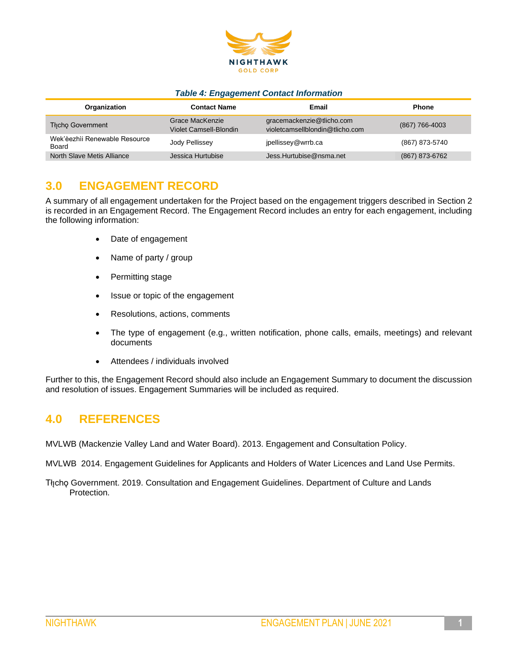

#### *Table 4: Engagement Contact Information*

| Organization                           | <b>Contact Name</b>                       | Email                                                        | <b>Phone</b>   |
|----------------------------------------|-------------------------------------------|--------------------------------------------------------------|----------------|
| <b>Thicho Government</b>               | Grace MacKenzie<br>Violet Camsell-Blondin | gracemackenzie@tlicho.com<br>violetcamsellblondin@tlicho.com | (867) 766-4003 |
| Wek'èezhìi Renewable Resource<br>Board | Jody Pellissey                            | jpellissey@wrrb.ca                                           | (867) 873-5740 |
| North Slave Metis Alliance             | Jessica Hurtubise                         | Jess.Hurtubise@nsma.net                                      | (867) 873-6762 |

## **3.0 ENGAGEMENT RECORD**

A summary of all engagement undertaken for the Project based on the engagement triggers described in Section 2 is recorded in an Engagement Record. The Engagement Record includes an entry for each engagement, including the following information:

- Date of engagement
- Name of party / group
- Permitting stage
- Issue or topic of the engagement
- Resolutions, actions, comments
- The type of engagement (e.g., written notification, phone calls, emails, meetings) and relevant documents
- Attendees / individuals involved

Further to this, the Engagement Record should also include an Engagement Summary to document the discussion and resolution of issues. Engagement Summaries will be included as required.

## **4.0 REFERENCES**

MVLWB (Mackenzie Valley Land and Water Board). 2013. Engagement and Consultation Policy.

MVLWB 2014. Engagement Guidelines for Applicants and Holders of Water Licences and Land Use Permits.

Tłicho Government. 2019. Consultation and Engagement Guidelines. Department of Culture and Lands Protection.